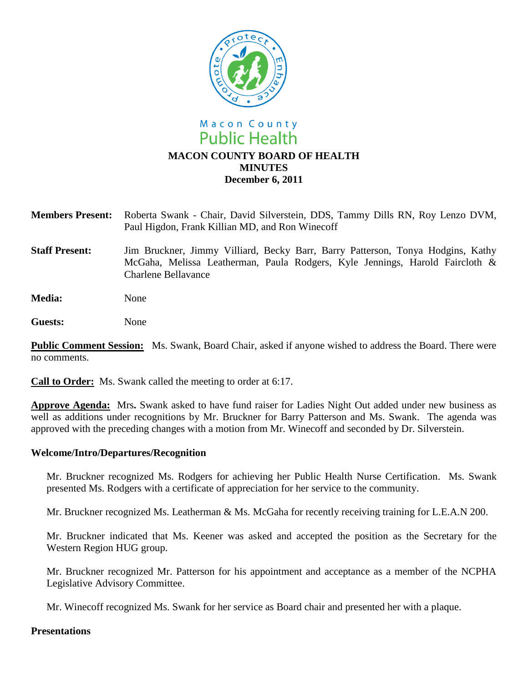

- **Members Present:** Roberta Swank Chair, David Silverstein, DDS, Tammy Dills RN, Roy Lenzo DVM, Paul Higdon, Frank Killian MD, and Ron Winecoff
- **Staff Present:** Jim Bruckner, Jimmy Villiard, Becky Barr, Barry Patterson, Tonya Hodgins, Kathy McGaha, Melissa Leatherman, Paula Rodgers, Kyle Jennings, Harold Faircloth & Charlene Bellavance
- **Media:** None
- **Guests:** None

**Public Comment Session:** Ms. Swank, Board Chair, asked if anyone wished to address the Board. There were no comments.

**Call to Order:** Ms. Swank called the meeting to order at 6:17.

**Approve Agenda:** Mrs**.** Swank asked to have fund raiser for Ladies Night Out added under new business as well as additions under recognitions by Mr. Bruckner for Barry Patterson and Ms. Swank. The agenda was approved with the preceding changes with a motion from Mr. Winecoff and seconded by Dr. Silverstein.

### **Welcome/Intro/Departures/Recognition**

Mr. Bruckner recognized Ms. Rodgers for achieving her Public Health Nurse Certification. Ms. Swank presented Ms. Rodgers with a certificate of appreciation for her service to the community.

Mr. Bruckner recognized Ms. Leatherman & Ms. McGaha for recently receiving training for L.E.A.N 200.

Mr. Bruckner indicated that Ms. Keener was asked and accepted the position as the Secretary for the Western Region HUG group.

Mr. Bruckner recognized Mr. Patterson for his appointment and acceptance as a member of the NCPHA Legislative Advisory Committee.

Mr. Winecoff recognized Ms. Swank for her service as Board chair and presented her with a plaque.

### **Presentations**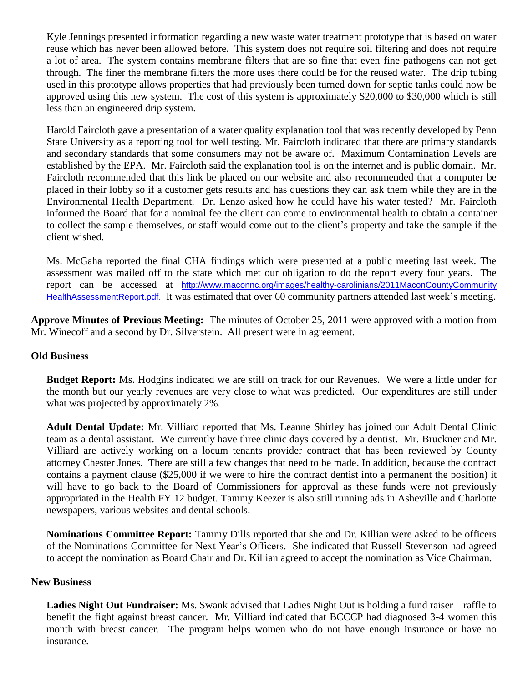Kyle Jennings presented information regarding a new waste water treatment prototype that is based on water reuse which has never been allowed before. This system does not require soil filtering and does not require a lot of area. The system contains membrane filters that are so fine that even fine pathogens can not get through. The finer the membrane filters the more uses there could be for the reused water. The drip tubing used in this prototype allows properties that had previously been turned down for septic tanks could now be approved using this new system. The cost of this system is approximately \$20,000 to \$30,000 which is still less than an engineered drip system.

Harold Faircloth gave a presentation of a water quality explanation tool that was recently developed by Penn State University as a reporting tool for well testing. Mr. Faircloth indicated that there are primary standards and secondary standards that some consumers may not be aware of. Maximum Contamination Levels are established by the EPA. Mr. Faircloth said the explanation tool is on the internet and is public domain. Mr. Faircloth recommended that this link be placed on our website and also recommended that a computer be placed in their lobby so if a customer gets results and has questions they can ask them while they are in the Environmental Health Department. Dr. Lenzo asked how he could have his water tested? Mr. Faircloth informed the Board that for a nominal fee the client can come to environmental health to obtain a container to collect the sample themselves, or staff would come out to the client's property and take the sample if the client wished.

Ms. McGaha reported the final CHA findings which were presented at a public meeting last week. The assessment was mailed off to the state which met our obligation to do the report every four years. The report can be accessed at http://www.maconnc.org/images/healthy-carolinians/2011MaconCountyCommunity [HealthAssessmentReport.pdf.](http://www.maconnc.org/images/healthy-carolinians/2011MaconCountyCommunity%20HealthAssessmentReport.pdf) It was estimated that over 60 community partners attended last week's meeting.

**Approve Minutes of Previous Meeting:** The minutes of October 25, 2011 were approved with a motion from Mr. Winecoff and a second by Dr. Silverstein. All present were in agreement.

## **Old Business**

**Budget Report:** Ms. Hodgins indicated we are still on track for our Revenues. We were a little under for the month but our yearly revenues are very close to what was predicted. Our expenditures are still under what was projected by approximately 2%.

**Adult Dental Update:** Mr. Villiard reported that Ms. Leanne Shirley has joined our Adult Dental Clinic team as a dental assistant. We currently have three clinic days covered by a dentist. Mr. Bruckner and Mr. Villiard are actively working on a locum tenants provider contract that has been reviewed by County attorney Chester Jones. There are still a few changes that need to be made. In addition, because the contract contains a payment clause (\$25,000 if we were to hire the contract dentist into a permanent the position) it will have to go back to the Board of Commissioners for approval as these funds were not previously appropriated in the Health FY 12 budget. Tammy Keezer is also still running ads in Asheville and Charlotte newspapers, various websites and dental schools.

**Nominations Committee Report:** Tammy Dills reported that she and Dr. Killian were asked to be officers of the Nominations Committee for Next Year's Officers. She indicated that Russell Stevenson had agreed to accept the nomination as Board Chair and Dr. Killian agreed to accept the nomination as Vice Chairman.

## **New Business**

**Ladies Night Out Fundraiser:** Ms. Swank advised that Ladies Night Out is holding a fund raiser – raffle to benefit the fight against breast cancer. Mr. Villiard indicated that BCCCP had diagnosed 3-4 women this month with breast cancer. The program helps women who do not have enough insurance or have no insurance.